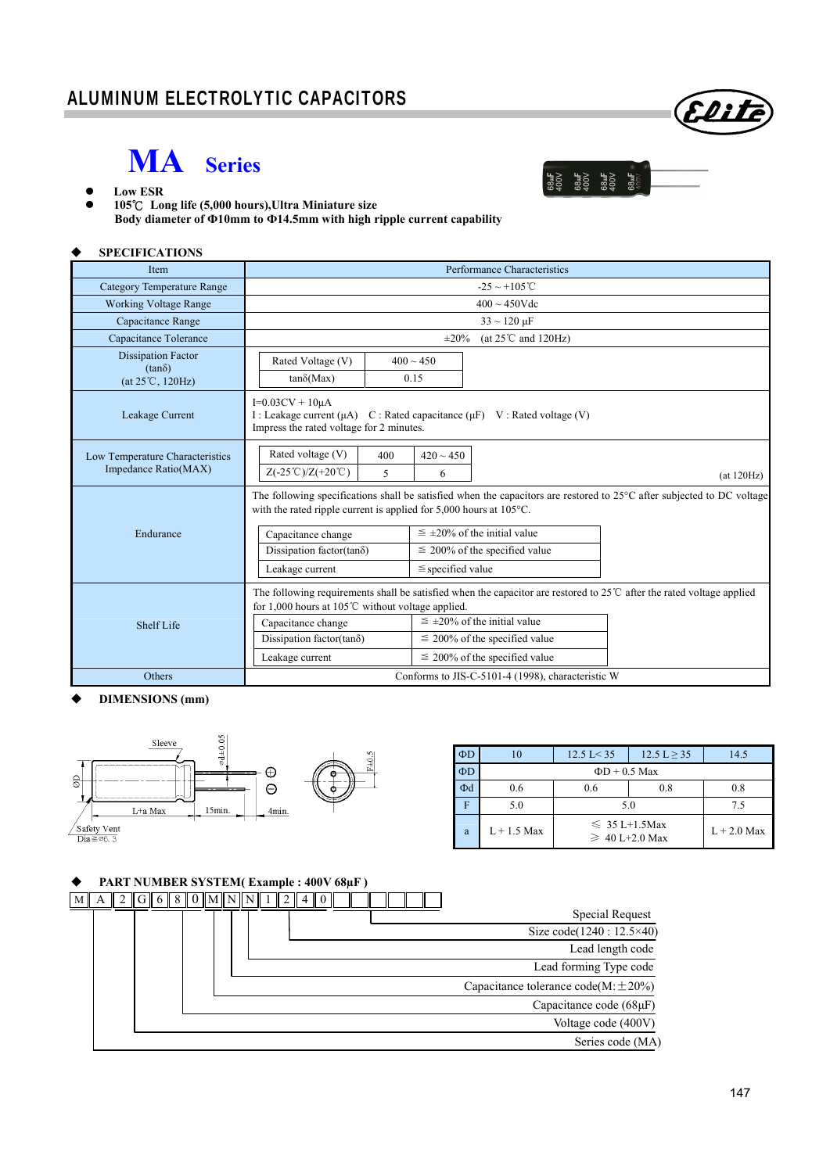## **MA Series**



Eliti

**C** Low ESR

 **105**℃ **Long life (5,000 hours),Ultra Miniature size Body diameter of Ф10mm to Ф14.5mm with high ripple current capability**

#### **SPECIFICATIONS**

| Item                                                    | Performance Characteristics                                                                                                                                                                                                                      |                |                                      |  |            |  |
|---------------------------------------------------------|--------------------------------------------------------------------------------------------------------------------------------------------------------------------------------------------------------------------------------------------------|----------------|--------------------------------------|--|------------|--|
| <b>Category Temperature Range</b>                       | $-25 \sim +105^{\circ}$ C                                                                                                                                                                                                                        |                |                                      |  |            |  |
| <b>Working Voltage Range</b>                            | $400 \sim 450$ Vdc                                                                                                                                                                                                                               |                |                                      |  |            |  |
| Capacitance Range                                       | $33 \sim 120 \text{ }\mu\text{F}$                                                                                                                                                                                                                |                |                                      |  |            |  |
| Capacitance Tolerance                                   | (at $25^{\circ}$ C and $120$ Hz)<br>$\pm 20\%$                                                                                                                                                                                                   |                |                                      |  |            |  |
| <b>Dissipation Factor</b>                               | Rated Voltage (V)                                                                                                                                                                                                                                | $400 \sim 450$ |                                      |  |            |  |
| $(tan\delta)$<br>(at 25°C, 120Hz)                       | $tan\delta(Max)$                                                                                                                                                                                                                                 | 0.15           |                                      |  |            |  |
| Leakage Current                                         | $I=0.03CV + 10\mu A$<br>I: Leakage current $(\mu A)$ C: Rated capacitance $(\mu F)$ V: Rated voltage (V)<br>Impress the rated voltage for 2 minutes.                                                                                             |                |                                      |  |            |  |
| Low Temperature Characteristics<br>Impedance Ratio(MAX) | Rated voltage (V)<br>$Z(-25^{\circ}\text{C})/Z(+20^{\circ}\text{C})$                                                                                                                                                                             | 400<br>5       | $420 \sim 450$<br>6                  |  | (at 120Hz) |  |
|                                                         | The following specifications shall be satisfied when the capacitors are restored to $25^{\circ}$ C after subjected to DC voltage<br>with the rated ripple current is applied for $5,000$ hours at $105^{\circ}$ C.                               |                |                                      |  |            |  |
| Endurance                                               | Capacitance change                                                                                                                                                                                                                               |                | $\leq \pm 20\%$ of the initial value |  |            |  |
|                                                         | Dissipation factor(tan $\delta$ )                                                                                                                                                                                                                |                | $\leq$ 200% of the specified value   |  |            |  |
|                                                         | Leakage current                                                                                                                                                                                                                                  |                | $\leq$ specified value               |  |            |  |
| Shelf Life                                              | The following requirements shall be satisfied when the capacitor are restored to $25^{\circ}$ after the rated voltage applied<br>for 1,000 hours at 105°C without voltage applied.<br>$\leq \pm 20\%$ of the initial value<br>Capacitance change |                |                                      |  |            |  |
|                                                         | Dissipation factor(tan $\delta$ )                                                                                                                                                                                                                |                | $\leq$ 200% of the specified value   |  |            |  |
|                                                         | Leakage current                                                                                                                                                                                                                                  |                | $\leq$ 200% of the specified value   |  |            |  |
| <b>Others</b>                                           | Conforms to JIS-C-5101-4 (1998), characteristic W                                                                                                                                                                                                |                |                                      |  |            |  |

#### **DIMENSIONS (mm)**



| ФD |                    | $12.5 \text{ L} < 35$                       | $12.5 \text{ L} \geq 35$ | 14.5          |  |  |
|----|--------------------|---------------------------------------------|--------------------------|---------------|--|--|
| ΦD | $\Phi$ D + 0.5 Max |                                             |                          |               |  |  |
| Φd | 0.6                | 0.6                                         | 0.8                      | 0.8           |  |  |
|    | 5.0                | 5.0                                         | 75                       |               |  |  |
| a  | $L + 1.5$ Max      | $\leq 35 L+1.5$ Max<br>$\geq 40$ I +2.0 Max |                          | $L + 2.0$ Max |  |  |

#### **PART NUMBER SYSTEM( Example : 400V 68µF )**